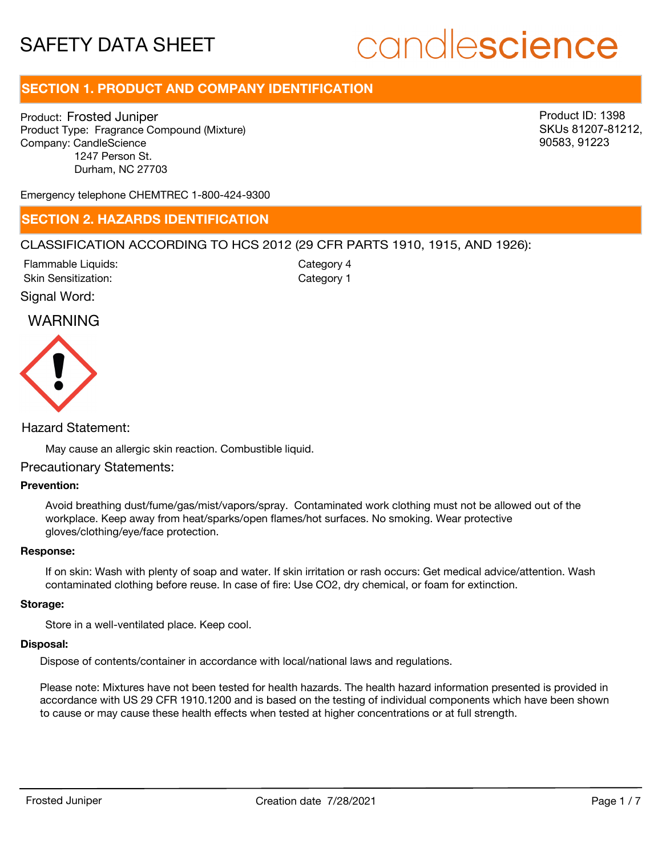# candlescience

# **SECTION 1. PRODUCT AND COMPANY IDENTIFICATION**

Product: Frosted Juniper Product Type: Fragrance Compound (Mixture) Company: CandleScience 1247 Person St. Durham, NC 27703

Product ID: 1398 SKUs 81207-81212, 90583, 91223

Emergency telephone CHEMTREC 1-800-424-9300

# **SECTION 2. HAZARDS IDENTIFICATION**

# CLASSIFICATION ACCORDING TO HCS 2012 (29 CFR PARTS 1910, 1915, AND 1926):

Skin Sensitization: Flammable Liquids: Category 1 Category 4

Signal Word:

# WARNING



Hazard Statement:

May cause an allergic skin reaction. Combustible liquid.

# Precautionary Statements:

# **Prevention:**

Avoid breathing dust/fume/gas/mist/vapors/spray. Contaminated work clothing must not be allowed out of the workplace. Keep away from heat/sparks/open flames/hot surfaces. No smoking. Wear protective gloves/clothing/eye/face protection.

#### **Response:**

If on skin: Wash with plenty of soap and water. If skin irritation or rash occurs: Get medical advice/attention. Wash contaminated clothing before reuse. In case of fire: Use CO2, dry chemical, or foam for extinction.

#### **Storage:**

Store in a well-ventilated place. Keep cool.

#### **Disposal:**

Dispose of contents/container in accordance with local/national laws and regulations.

Please note: Mixtures have not been tested for health hazards. The health hazard information presented is provided in accordance with US 29 CFR 1910.1200 and is based on the testing of individual components which have been shown to cause or may cause these health effects when tested at higher concentrations or at full strength.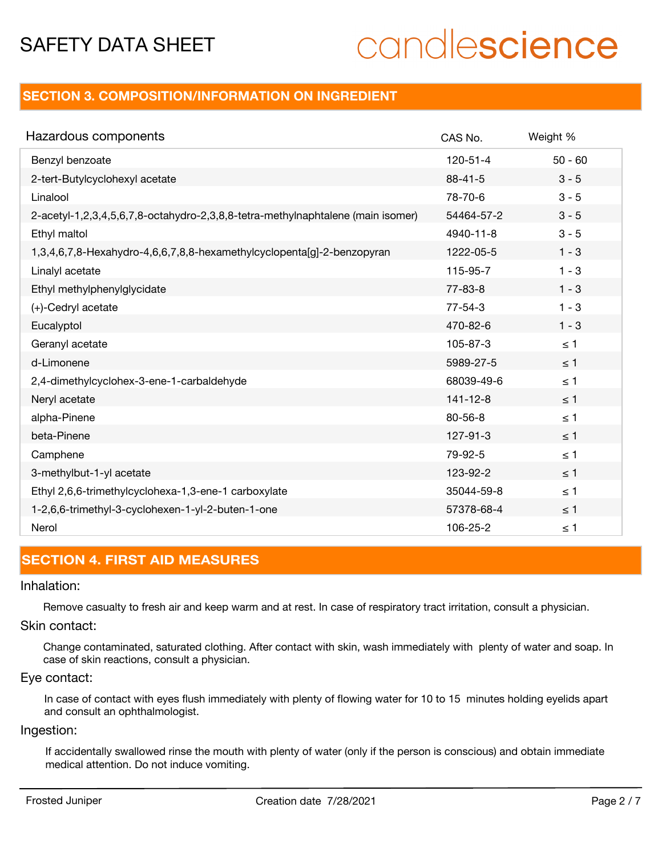# candlescience

# **SECTION 3. COMPOSITION/INFORMATION ON INGREDIENT**

| Hazardous components                                                            | CAS No.        | Weight %  |
|---------------------------------------------------------------------------------|----------------|-----------|
| Benzyl benzoate                                                                 | $120 - 51 - 4$ | $50 - 60$ |
| 2-tert-Butylcyclohexyl acetate                                                  | $88 - 41 - 5$  | $3 - 5$   |
| Linalool                                                                        | 78-70-6        | $3 - 5$   |
| 2-acetyl-1,2,3,4,5,6,7,8-octahydro-2,3,8,8-tetra-methylnaphtalene (main isomer) | 54464-57-2     | $3 - 5$   |
| Ethyl maltol                                                                    | 4940-11-8      | $3 - 5$   |
| 1,3,4,6,7,8-Hexahydro-4,6,6,7,8,8-hexamethylcyclopenta[g]-2-benzopyran          | 1222-05-5      | $1 - 3$   |
| Linalyl acetate                                                                 | 115-95-7       | $1 - 3$   |
| Ethyl methylphenylglycidate                                                     | $77 - 83 - 8$  | $1 - 3$   |
| (+)-Cedryl acetate                                                              | $77 - 54 - 3$  | $1 - 3$   |
| Eucalyptol                                                                      | 470-82-6       | $1 - 3$   |
| Geranyl acetate                                                                 | 105-87-3       | $\leq$ 1  |
| d-Limonene                                                                      | 5989-27-5      | $\leq$ 1  |
| 2,4-dimethylcyclohex-3-ene-1-carbaldehyde                                       | 68039-49-6     | $\leq 1$  |
| Neryl acetate                                                                   | $141 - 12 - 8$ | $\leq 1$  |
| alpha-Pinene                                                                    | $80 - 56 - 8$  | $\leq 1$  |
| beta-Pinene                                                                     | 127-91-3       | $\leq 1$  |
| Camphene                                                                        | 79-92-5        | $\leq 1$  |
| 3-methylbut-1-yl acetate                                                        | 123-92-2       | $\leq 1$  |
| Ethyl 2,6,6-trimethylcyclohexa-1,3-ene-1 carboxylate                            | 35044-59-8     | $\leq 1$  |
| 1-2,6,6-trimethyl-3-cyclohexen-1-yl-2-buten-1-one                               | 57378-68-4     | $\leq$ 1  |
| Nerol                                                                           | 106-25-2       | $\leq 1$  |

# **SECTION 4. FIRST AID MEASURES**

### Inhalation:

Remove casualty to fresh air and keep warm and at rest. In case of respiratory tract irritation, consult a physician.

# Skin contact:

Change contaminated, saturated clothing. After contact with skin, wash immediately with plenty of water and soap. In case of skin reactions, consult a physician.

# Eye contact:

In case of contact with eyes flush immediately with plenty of flowing water for 10 to 15 minutes holding eyelids apart and consult an ophthalmologist.

# Ingestion:

If accidentally swallowed rinse the mouth with plenty of water (only if the person is conscious) and obtain immediate medical attention. Do not induce vomiting.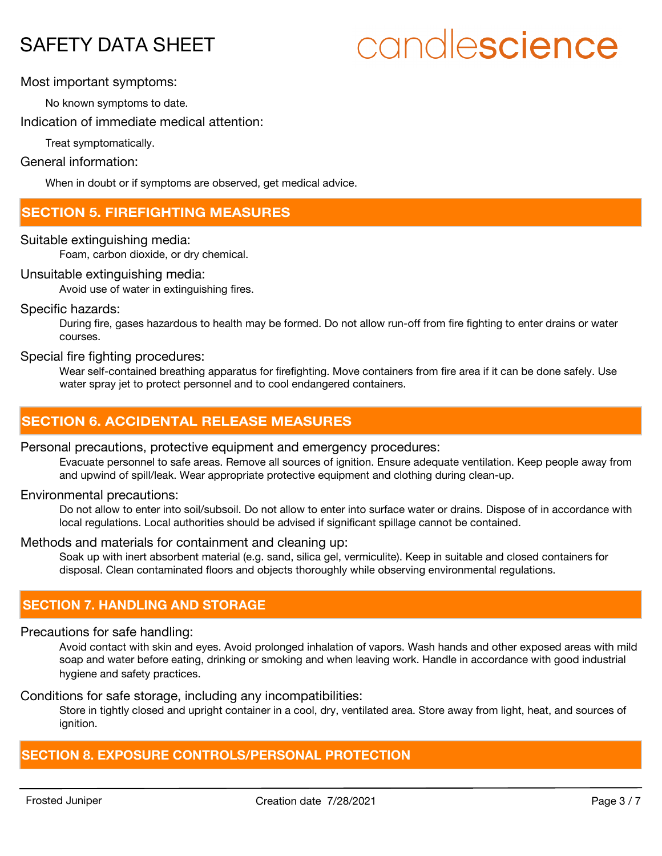# candlescience

Most important symptoms:

No known symptoms to date.

Indication of immediate medical attention:

Treat symptomatically.

# General information:

When in doubt or if symptoms are observed, get medical advice.

# **SECTION 5. FIREFIGHTING MEASURES**

# Suitable extinguishing media:

Foam, carbon dioxide, or dry chemical.

# Unsuitable extinguishing media:

Avoid use of water in extinguishing fires.

# Specific hazards:

During fire, gases hazardous to health may be formed. Do not allow run-off from fire fighting to enter drains or water courses.

# Special fire fighting procedures:

Wear self-contained breathing apparatus for firefighting. Move containers from fire area if it can be done safely. Use water spray jet to protect personnel and to cool endangered containers.

# **SECTION 6. ACCIDENTAL RELEASE MEASURES**

# Personal precautions, protective equipment and emergency procedures:

Evacuate personnel to safe areas. Remove all sources of ignition. Ensure adequate ventilation. Keep people away from and upwind of spill/leak. Wear appropriate protective equipment and clothing during clean-up.

# Environmental precautions:

Do not allow to enter into soil/subsoil. Do not allow to enter into surface water or drains. Dispose of in accordance with local regulations. Local authorities should be advised if significant spillage cannot be contained.

# Methods and materials for containment and cleaning up:

Soak up with inert absorbent material (e.g. sand, silica gel, vermiculite). Keep in suitable and closed containers for disposal. Clean contaminated floors and objects thoroughly while observing environmental regulations.

# **SECTION 7. HANDLING AND STORAGE**

# Precautions for safe handling:

Avoid contact with skin and eyes. Avoid prolonged inhalation of vapors. Wash hands and other exposed areas with mild soap and water before eating, drinking or smoking and when leaving work. Handle in accordance with good industrial hygiene and safety practices.

#### Conditions for safe storage, including any incompatibilities:

Store in tightly closed and upright container in a cool, dry, ventilated area. Store away from light, heat, and sources of ignition.

# **SECTION 8. EXPOSURE CONTROLS/PERSONAL PROTECTION**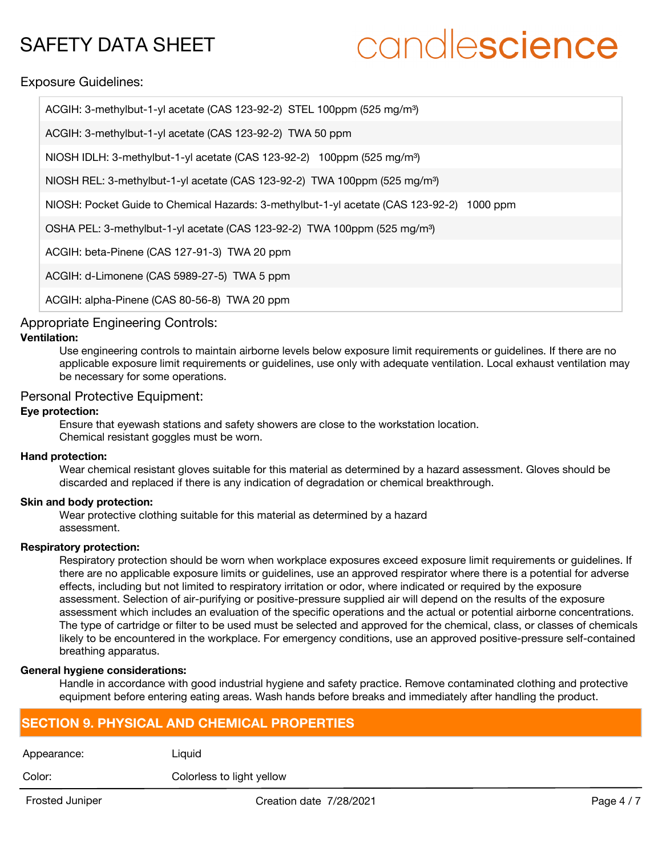# candlescience

Exposure Guidelines:

| ACGIH: 3-methylbut-1-yl acetate (CAS 123-92-2) STEL 100ppm (525 mg/m <sup>3</sup> )       |
|-------------------------------------------------------------------------------------------|
| ACGIH: 3-methylbut-1-yl acetate (CAS 123-92-2) TWA 50 ppm                                 |
| NIOSH IDLH: 3-methylbut-1-yl acetate (CAS 123-92-2) 100ppm (525 mg/m <sup>3</sup> )       |
| NIOSH REL: 3-methylbut-1-yl acetate (CAS 123-92-2) TWA 100ppm (525 mg/m <sup>3</sup> )    |
| NIOSH: Pocket Guide to Chemical Hazards: 3-methylbut-1-yl acetate (CAS 123-92-2) 1000 ppm |
| OSHA PEL: 3-methylbut-1-yl acetate (CAS 123-92-2) TWA 100ppm (525 mg/m <sup>3</sup> )     |
| ACGIH: beta-Pinene (CAS 127-91-3) TWA 20 ppm                                              |
| ACGIH: d-Limonene (CAS 5989-27-5) TWA 5 ppm                                               |
| ACGIH: alpha-Pinene (CAS 80-56-8) TWA 20 ppm                                              |

# Appropriate Engineering Controls:

### **Ventilation:**

Use engineering controls to maintain airborne levels below exposure limit requirements or guidelines. If there are no applicable exposure limit requirements or guidelines, use only with adequate ventilation. Local exhaust ventilation may be necessary for some operations.

# Personal Protective Equipment:

### **Eye protection:**

Ensure that eyewash stations and safety showers are close to the workstation location. Chemical resistant goggles must be worn.

#### **Hand protection:**

Wear chemical resistant gloves suitable for this material as determined by a hazard assessment. Gloves should be discarded and replaced if there is any indication of degradation or chemical breakthrough.

# **Skin and body protection:**

Wear protective clothing suitable for this material as determined by a hazard assessment.

#### **Respiratory protection:**

Respiratory protection should be worn when workplace exposures exceed exposure limit requirements or quidelines. If there are no applicable exposure limits or guidelines, use an approved respirator where there is a potential for adverse effects, including but not limited to respiratory irritation or odor, where indicated or required by the exposure assessment. Selection of air-purifying or positive-pressure supplied air will depend on the results of the exposure assessment which includes an evaluation of the specific operations and the actual or potential airborne concentrations. The type of cartridge or filter to be used must be selected and approved for the chemical, class, or classes of chemicals likely to be encountered in the workplace. For emergency conditions, use an approved positive-pressure self-contained breathing apparatus.

#### **General hygiene considerations:**

Handle in accordance with good industrial hygiene and safety practice. Remove contaminated clothing and protective equipment before entering eating areas. Wash hands before breaks and immediately after handling the product.

# **SECTION 9. PHYSICAL AND CHEMICAL PROPERTIES**

| Appearance: | Liguid                    |
|-------------|---------------------------|
| Color:      | Colorless to light yellow |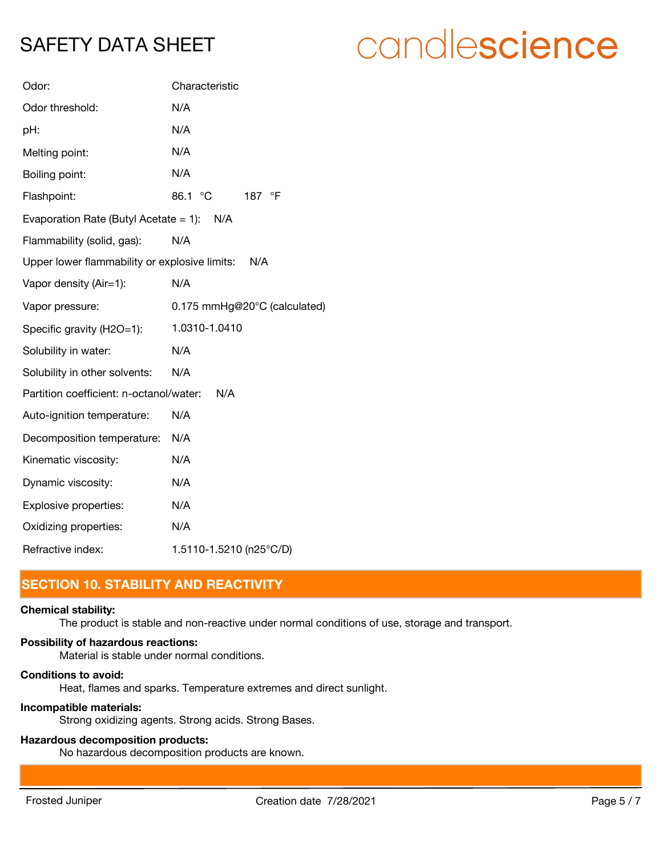# candlescience

| Odor:                                         | Characteristic               |
|-----------------------------------------------|------------------------------|
| Odor threshold:                               | N/A                          |
| pH:                                           | N/A                          |
| Melting point:                                | N/A                          |
| Boiling point:                                | N/A                          |
| Flashpoint:                                   | 86.1 °C<br>187 °F            |
| Evaporation Rate (Butyl Acetate = 1): $N/A$   |                              |
| Flammability (solid, gas):                    | N/A                          |
| Upper lower flammability or explosive limits: | N/A                          |
| Vapor density (Air=1):                        | N/A                          |
| Vapor pressure:                               | 0.175 mmHg@20°C (calculated) |
| Specific gravity (H2O=1):                     | 1.0310-1.0410                |
| Solubility in water:                          | N/A                          |
| Solubility in other solvents:                 | N/A                          |
| Partition coefficient: n-octanol/water:       | N/A                          |
| Auto-ignition temperature:                    | N/A                          |
| Decomposition temperature:                    | N/A                          |
| Kinematic viscosity:                          | N/A                          |
| Dynamic viscosity:                            | N/A                          |
| Explosive properties:                         | N/A                          |
| Oxidizing properties:                         | N/A                          |
| Refractive index:                             | 1.5110-1.5210 (n25°C/D)      |

# **SECTION 10. STABILITY AND REACTIVITY**

#### **Chemical stability:**

The product is stable and non-reactive under normal conditions of use, storage and transport.

#### **Possibility of hazardous reactions:**

Material is stable under normal conditions.

#### **Conditions to avoid:**

Heat, flames and sparks. Temperature extremes and direct sunlight.

#### **Incompatible materials:**

Strong oxidizing agents. Strong acids. Strong Bases.

# **Hazardous decomposition products:**

No hazardous decomposition products are known.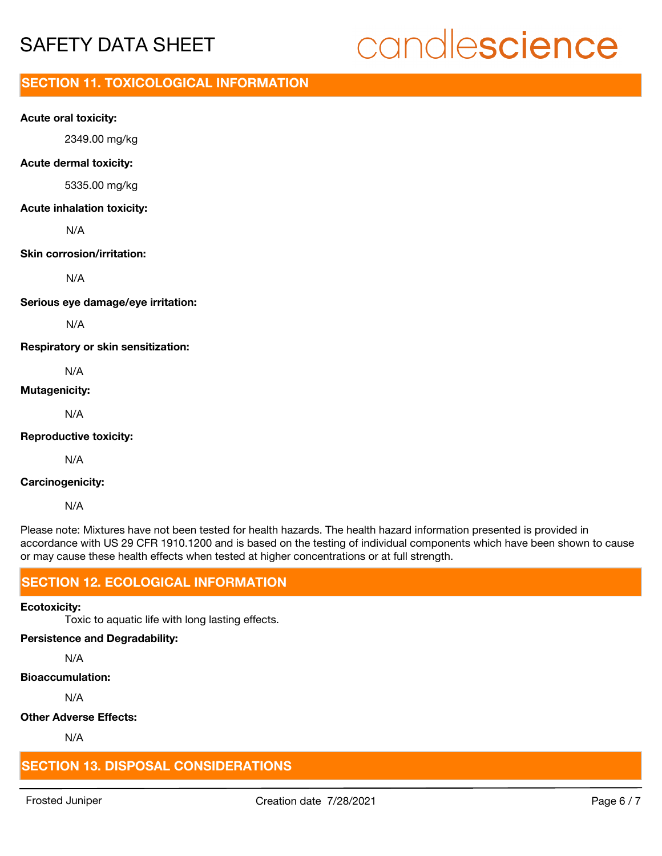# candlescience

# **SECTION 11. TOXICOLOGICAL INFORMATION**

### **Acute oral toxicity:**

2349.00 mg/kg

### **Acute dermal toxicity:**

5335.00 mg/kg

### **Acute inhalation toxicity:**

N/A

#### **Skin corrosion/irritation:**

N/A

**Serious eye damage/eye irritation:**

N/A

**Respiratory or skin sensitization:**

N/A

## **Mutagenicity:**

N/A

**Reproductive toxicity:**

N/A

### **Carcinogenicity:**

N/A

Please note: Mixtures have not been tested for health hazards. The health hazard information presented is provided in accordance with US 29 CFR 1910.1200 and is based on the testing of individual components which have been shown to cause or may cause these health effects when tested at higher concentrations or at full strength.

# **SECTION 12. ECOLOGICAL INFORMATION**

#### **Ecotoxicity:**

Toxic to aquatic life with long lasting effects.

# **Persistence and Degradability:**

N/A

# **Bioaccumulation:**

N/A

# **Other Adverse Effects:**

N/A

# **SECTION 13. DISPOSAL CONSIDERATIONS**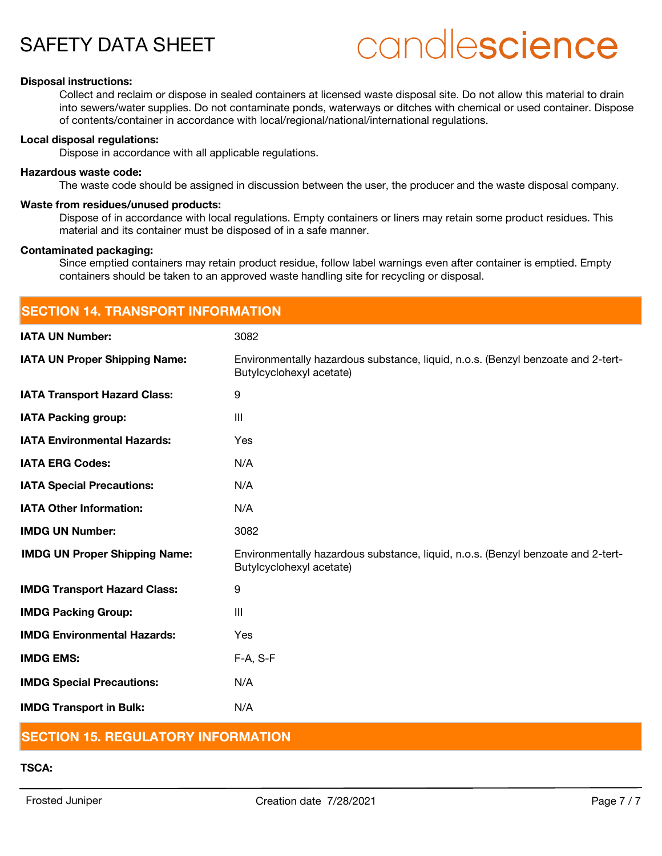# candlescience

#### **Disposal instructions:**

Collect and reclaim or dispose in sealed containers at licensed waste disposal site. Do not allow this material to drain into sewers/water supplies. Do not contaminate ponds, waterways or ditches with chemical or used container. Dispose of contents/container in accordance with local/regional/national/international regulations.

#### **Local disposal regulations:**

Dispose in accordance with all applicable regulations.

#### **Hazardous waste code:**

The waste code should be assigned in discussion between the user, the producer and the waste disposal company.

#### **Waste from residues/unused products:**

Dispose of in accordance with local regulations. Empty containers or liners may retain some product residues. This material and its container must be disposed of in a safe manner.

#### **Contaminated packaging:**

Since emptied containers may retain product residue, follow label warnings even after container is emptied. Empty containers should be taken to an approved waste handling site for recycling or disposal.

| <b>SECTION 14. TRANSPORT INFORMATION</b> |                                                                                                              |  |
|------------------------------------------|--------------------------------------------------------------------------------------------------------------|--|
| <b>IATA UN Number:</b>                   | 3082                                                                                                         |  |
| <b>IATA UN Proper Shipping Name:</b>     | Environmentally hazardous substance, liquid, n.o.s. (Benzyl benzoate and 2-tert-<br>Butylcyclohexyl acetate) |  |
| <b>IATA Transport Hazard Class:</b>      | 9                                                                                                            |  |
| <b>IATA Packing group:</b>               | $\mathbf{III}$                                                                                               |  |
| <b>IATA Environmental Hazards:</b>       | Yes                                                                                                          |  |
| <b>IATA ERG Codes:</b>                   | N/A                                                                                                          |  |
| <b>IATA Special Precautions:</b>         | N/A                                                                                                          |  |
| <b>IATA Other Information:</b>           | N/A                                                                                                          |  |
| <b>IMDG UN Number:</b>                   | 3082                                                                                                         |  |
| <b>IMDG UN Proper Shipping Name:</b>     | Environmentally hazardous substance, liquid, n.o.s. (Benzyl benzoate and 2-tert-<br>Butylcyclohexyl acetate) |  |
| <b>IMDG Transport Hazard Class:</b>      | 9                                                                                                            |  |
| <b>IMDG Packing Group:</b>               | III                                                                                                          |  |
| <b>IMDG Environmental Hazards:</b>       | Yes                                                                                                          |  |
| <b>IMDG EMS:</b>                         | $F-A, S-F$                                                                                                   |  |
| <b>IMDG Special Precautions:</b>         | N/A                                                                                                          |  |
| <b>IMDG Transport in Bulk:</b>           | N/A                                                                                                          |  |

# **SECTION 15. REGULATORY INFORMATION**

#### **TSCA:**